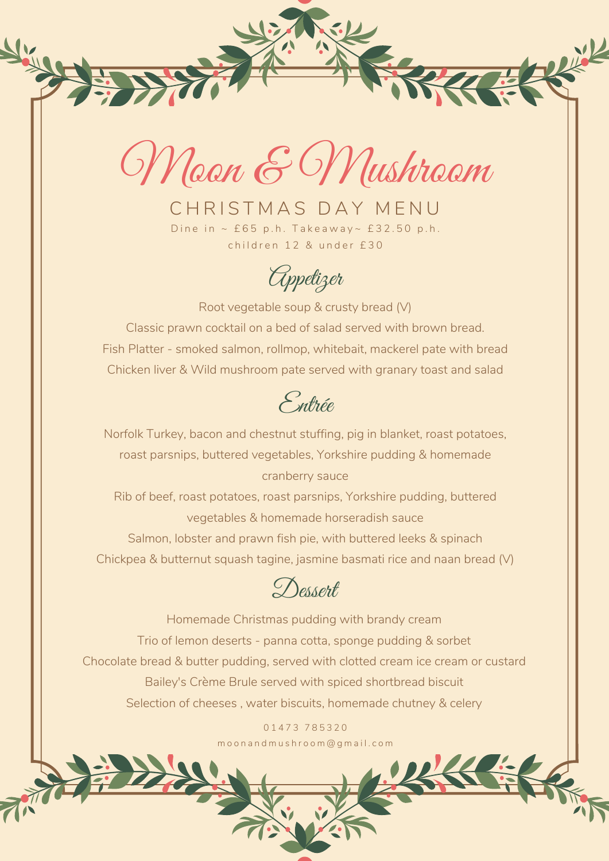

1833

ikk

CHRISTMAS DAY MENU Dine in  $\sim$  £65 p.h. Takeaway $\sim$  £32.50 p.h. children 12 & under £30

Appetizer

Root vegetable soup & crusty bread (V) Classic prawn cocktail on a bed of salad served with brown bread. Fish Platter - smoked salmon, rollmop, whitebait, mackerel pate with bread Chicken liver & Wild mushroom pate served with granary toast and salad

Entrée

Norfolk Turkey, bacon and chestnut stuffing, pig in blanket, roast potatoes, roast parsnips, buttered vegetables, Yorkshire pudding & homemade cranberry sauce

Rib of beef, roast potatoes, roast parsnips, Yorkshire pudding, buttered vegetables & homemade horseradish sauce Salmon, lobster and prawn fish pie, with buttered leeks & spinach

Dessert

Chickpea & butternut squash tagine, jasmine basmati rice and naan bread (V)

Homemade Christmas pudding with brandy cream Trio of lemon deserts - panna cotta, sponge pudding & sorbet Chocolate bread & butter pudding, served with clotted cream ice cream or custard Bailey's Crème Brule served with spiced shortbread biscuit Selection of cheeses , water biscuits, homemade chutney & celery

> 0 1 4 7 3 7 8 5 3 2 0 m o o n a n d m u s h r o o m @ g m a i l . c o m